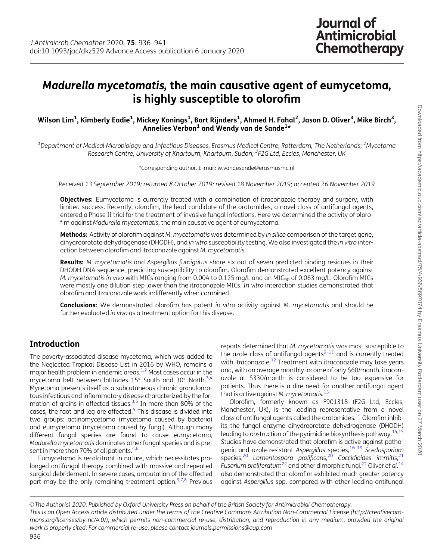# <span id="page-0-0"></span>Madurella mycetomatis, the main causative agent of eumycetoma, is highly susceptible to olorofim

#### Wilson Lim<sup>1</sup>, Kimberly Eadie<sup>1</sup>, Mickey Konings<sup>1</sup>, Bart Rijnders<sup>1</sup>, Ahmed H. Fahal<sup>2</sup>, Jason D. Oliver<sup>3</sup>, Mike Birch<sup>3</sup>, Annelies Verbon<sup>1</sup> and Wendy van de Sande<sup>1\*</sup>

 $^{\rm 1}$ Department of Medical Microbiology and Infectious Diseases, Erasmus Medical Centre, Rotterdam, The Netherlands;  $^{\rm 2}$ Mycetoma Research Centre, University of Khartoum, Khartoum, Sudan; <sup>3</sup>F2G Ltd, Eccles, Manchester, UK

\*Corresponding author. E-mail: w.vandesande@erasmusmc.nl

Received 13 September 2019; returned 8 October 2019; revised 18 November 2019; accepted 26 November 2019

**Objectives:** Eumycetoma is currently treated with a combination of itraconazole therapy and surgery, with limited success. Recently, olorofim, the lead candidate of the orotomides, a novel class of antifungal agents, entered a Phase II trial for the treatment of invasive fungal infections. Here we determined the activity of olorofim against Madurella mycetomatis, the main causative agent of eumycetoma.

Methods: Activity of olorofim against M. mycetomatis was determined by in silico comparison of the target gene, dihydroorotate dehydrogenase (DHODH), and in vitro susceptibility testing. We also investigated the in vitro interaction between olorofim and itraconazole against M. mycetomatis.

Results: M. mycetomatis and Aspergillus fumigatus share six out of seven predicted binding residues in their DHODH DNA sequence, predicting susceptibility to olorofim. Olorofim demonstrated excellent potency against M. mycetomatis in vivo with MICs ranging from 0.004 to 0.125 mg/L and an MIC<sub>90</sub> of 0.063 mg/L. Olorofim MICs were mostly one dilution step lower than the itraconazole MICs. In vitro interaction studies demonstrated that olorofim and itraconazole work indifferently when combined.

**Conclusions:** We demonstrated olorofim has potent in vitro activity against M. mycetomatis and should be further evaluated in vivo as a treatment option for this disease.

### Introduction

The poverty-associated disease mycetoma, which was added to the Neglected Tropical Disease List in 2016 by WHO, remains a major health problem in endemic areas[.1](#page-4-0),[2](#page-4-0) Most cases occur in the mycetoma belt between latitudes 15° South and 30° North.<sup>3,4</sup> Mycetoma presents itself as a subcutaneous chronic granulomatous infectious and inflammatory disease characterized by the for-mation of grains in affected tissues.<sup>[3,5](#page-4-0)</sup> In more than 80% of the cases, the foot and leg are affected.<sup>4</sup> This disease is divided into two groups: actinomycetoma (mycetoma caused by bacteria) and eumycetoma (mycetoma caused by fungi). Although many different fungal species are found to cause eumycetoma, Madurella mycetomatis dominates other fungal species and is pre-sent in more than 70% of all patients.<sup>[4](#page-4-0),[6](#page-4-0)</sup>

Eumycetoma is recalcitrant in nature, which necessitates prolonged antifungal therapy combined with massive and repeated surgical debridement. In severe cases, amputation of the affected part may be the only remaining treatment option. $3,7,8$  $3,7,8$  $3,7,8$  $3,7,8$  Previous reports determined that M. mycetomatis was most susceptible to the azole class of antifungal agents $9-11$  and is currently treated with itraconazole.<sup>12</sup> Treatment with itraconazole may take years and, with an average monthly income of only \$60/month, itraconazole at \$330/month is considered to be too expensive for patients. Thus there is a dire need for another antifungal agent that is active against M. mycetomatis. $^{13}$  $^{13}$  $^{13}$ 

Olorofim, formerly known as F901318 (F2G Ltd, Eccles, Manchester, UK), is the leading representative from a novel class of antifungal agents called the orotomides.<sup>[14](#page-4-0)</sup> Olorofim inhibits the fungal enzyme dihydroorotate dehydrogenase (DHODH) leading to obstruction of the pyrimidine biosynthesis pathway.<sup>14,15</sup> Studies have demonstrated that olorofim is active against pathogenic and azole-resistant Aspergillus species,<sup>16-19</sup> Scedosporium species,<sup>[20](#page-4-0)</sup> Lomentospora prolificans,<sup>20</sup> Coccidioides immitis,<sup>[21](#page-5-0)</sup> Fusarium proliferatum<sup>[22](#page-5-0)</sup> and other dimorphic fungi.<sup>22</sup> Oliver et al.<sup>[14](#page-4-0)</sup> also demonstrated that olorofim exhibited much greater potency against Aspergillus spp. compared with other leading antifungal

 $\circ$  The Author(s) 2020. Published by Oxford University Press on behalf of the British Society for Antimicrobial Chemotherapy. This is an Open Access article distributed under the terms of the Creative Commons Attribution Non-Commercial License (http://creativecommons.org/licenses/by-nc/4.0/), which permits non-commercial re-use, distribution, and reproduction in any medium, provided the original work is properly cited. For commercial re-use, please contact journals.permissions@oup.com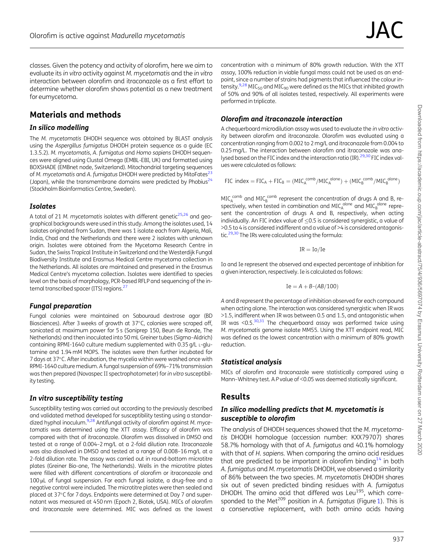<span id="page-1-0"></span>classes. Given the potency and activity of olorofim, here we aim to evaluate its in vitro activity against M. mycetomatis and the in vitro interaction between olorofim and itraconazole as a first effort to determine whether olorofim shows potential as a new treatment for eumycetoma.

### Materials and methods

#### In silico modelling

The M. mycetomatis DHODH sequence was obtained by BLAST analysis using the Aspergillus fumigatus DHODH protein sequence as a guide (EC 1.3.5.2). M. mycetomatis, A. fumigatus and Homo sapiens DHODH sequences were aligned using Clustal Omega (EMBL-EBI, UK) and formatted using BOXSHADE (EMBnet node, Switzerland). Mitochondrial targeting sequences of M. mycetomatis and A. fumigatus DHODH were predicted by MitoFates<sup>23</sup> (Japan), while the transmembrane domains were predicted by Phobius<sup>24</sup> (Stockholm Bioinformatics Centre, Sweden).

#### Isolates

A total of 21 M. mycetomatis isolates with different genetic $25,26$  $25,26$  $25,26$  and geographical backgrounds were used in this study. Among the isolates used, 14 isolates originated from Sudan, there was 1 isolate each from Algeria, Mali, India, Chad and the Netherlands and there were 2 isolates with unknown origin. Isolates were obtained from the Mycetoma Research Centre in Sudan, the Swiss Tropical Institute in Switzerland and the Westerdijk Fungal Biodiversity Institute and Erasmus Medical Centre mycetoma collection in the Netherlands. All isolates are maintained and preserved in the Erasmus Medical Centre's mycetoma collection. Isolates were identified to species level on the basis of morphology, PCR-based RFLP and sequencing of the internal transcribed spacer (ITS) regions.<sup>27</sup>

#### Fungal preparation

Fungal colonies were maintained on Sabouraud dextrose agar (BD Biosciences). After 3 weeks of growth at 37°C, colonies were scraped off, sonicated at maximum power for 5 s (Soniprep 150, Beun de Ronde, The Netherlands) and then inoculated into 50 mL Greiner tubes (Sigma–Aldrich) containing RPMI-1640 culture medium supplemented with 0.35 g/L L-glutamine and 1.94 mM MOPS. The isolates were then further incubated for 7 days at 37°C. After incubation, the mycelia within were washed once with RPMI-1640 culture medium. A fungal suspension of 69%–71% transmission was then prepared (Novaspec II spectrophotometer) for in vitro susceptibility testing.

#### In vitro susceptibility testing

Susceptibility testing was carried out according to the previously described and validated method developed for susceptibility testing using a standar-dized hyphal inoculum.<sup>9[,28](#page-5-0)</sup> Antifungal activity of olorofim against M. mycetomatis was determined using the XTT assay. Efficacy of olorofim was compared with that of itraconazole. Olorofim was dissolved in DMSO and tested at a range of 0.004–2 mg/L at a 2-fold dilution rate. Itraconazole was also dissolved in DMSO and tested at a range of 0.008–16 mg/L at a 2-fold dilution rate. The assay was carried out in round-bottom microtitre plates (Greiner Bio-one, The Netherlands). Wells in the microtitre plates were filled with different concentrations of olorofim or itraconazole and 100 µL of fungal suspension. For each fungal isolate, a drug-free and a negative control were included. The microtitre plates were then sealed and placed at 37°C for 7 days. Endpoints were determined at Day 7 and supernatant was measured at 450 nm (Epoch 2, Biotek, USA). MICs of olorofim and itraconazole were determined. MIC was defined as the lowest

concentration with a minimum of 80% growth reduction. With the XTT assay, 100% reduction in viable fungal mass could not be used as an endpoint, since a number of strains had pigments that influenced the colour in-tensity.<sup>9,[28](#page-5-0)</sup> MIC<sub>50</sub> and MIC<sub>90</sub> were defined as the MICs that inhibited growth of 50% and 90% of all isolates tested, respectively. All experiments were performed in triplicate.

#### Olorofim and itraconazole interaction

A chequerboard microdilution assay was used to evaluate the in vitro activity between olorofim and itraconazole. Olorofim was evaluated using a concentration ranging from 0.002 to 2 mg/L and itraconazole from 0.004 to 0.25 mg/L. The interaction between olorofim and itraconazole was analysed based on the FIC index and the interaction ratio (IR). $^{29,30}$  FIC index values were calculated as follows:

$$
FIC\ index = FIC_A + FIC_B = (MIC_A^{comb}/MIC_A^{alone}) + (MIC_B^{comb}/MIC_B^{alone})
$$

 $MICA^{comb}$  and  $MICB^{comb}$  represent the concentration of drugs A and B, respectively, when tested in combination and MIC $_{\rm A}^{\rm alone}$  and MIC $_{\rm B}^{\rm alone}$  represent the concentration of drugs A and B, respectively, when acting individually. An FIC index value of  $\leq$ 0.5 is considered synergistic, a value of >0.5 to 4 is considered indifferent and a value of >4 is considered antagonistic.<sup>29,30</sup> The IRs were calculated using the formula:

$$
\mathrm{IR}=\mathrm{Io}/\mathrm{Ie}
$$

Io and Ie represent the observed and expected percentage of inhibition for a given interaction, respectively. Ie is calculated as follows:

$$
Ie = A + B - (AB/100)
$$

A and B represent the percentage of inhibition observed for each compound when acting alone. The interaction was considered synergistic when IR was >1.5, indifferent when IR was between 0.5 and 1.5, and antagonistic when IR was  $\leq$ 0.5. $30,31$  The chequerboard assay was performed twice using M. mycetomatis genome isolate MM55. Using the XTT endpoint read, MIC was defined as the lowest concentration with a minimum of 80% growth reduction.

#### Statistical analysis

MICs of olorofim and itraconazole were statistically compared using a Mann-Whitney test. A P value of <0.05 was deemed statically significant.

# Results

#### In silico modelling predicts that M. mycetomatis is susceptible to olorofim

The analysis of DHODH sequences showed that the M. mycetomatis DHODH homologue (accession number: KXX79707) shares 58.7% homology with that of A. fumigatus and 40.1% homology with that of H. sapiens. When comparing the amino acid residues that are predicted to be important in olorofim binding<sup>[14](#page-4-0)</sup> in both A. fumigatus and M. mycetomatis DHODH, we observed a similarity of 86% between the two species. M. mycetomatis DHODH shares six out of seven predicted binding residues with A. fumigatus DHODH. The amino acid that differed was Leu<sup>195</sup>, which corre-sponded to the Met<sup>209</sup> position in A. fumigatus (Figure [1](#page-2-0)). This is a conservative replacement, with both amino acids having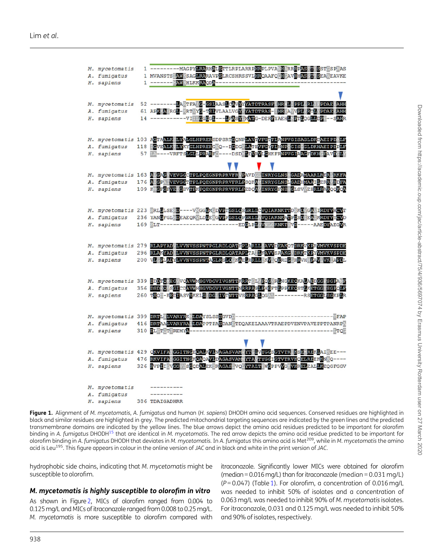<span id="page-2-0"></span>

| M. mycetomatis | 1 ----------MAGPYLRARHALSTTLRPLARRPHRPLPVANHARREPASMASSTESPAS                                             |
|----------------|-----------------------------------------------------------------------------------------------------------|
| A. fumigatus   | 1 MVANSTS AWSSAGLRARAVPSLRCSHRSSVLHROAAFOOHCAVRHASST SEA EAVKE                                            |
| H. sapiens     | 1 ------- WAWEHLKKRAODA --------------------                                                              |
|                |                                                                                                           |
|                | V                                                                                                         |
| M. mycetomatis | 52 -------- <mark>LARTFANG-GSLAASLGAVYYATDTRASFLHRML PPL RL</mark> IP <b>PDAE AHH</b>                     |
| A. fumigatus   | 61 APKKACRGL-KRTVYC-TSIVLAALVGYVYATDTRAS-IHRVAVVPIVRTLYPDAE AHH                                           |
| H. sapiens     | 14 -----------VIIICGGGL---LFASY MATG-DEREYAEHLVFTLOGLLDP--SAHR                                            |
|                |                                                                                                           |
|                |                                                                                                           |
|                | M. mycetomatis 103 ACTAALK-LYALGLHPRERSDPSRTCONPLATVRGTTLANPVGISAGLDKDAEIPDALF                            |
| A. fumigatus   | 118 GVEALK LYKYGLHPRERGNO--DGDGVLATEVFGYTLNNF GIS GLDKHAEIPDPLF                                           |
| H. sapiens     | 57 LA ----VRFTSLGLLPRARFO----DSDVLEVRVLGHKFRNPVGIAAGFDKHCDAVDGLY                                          |
|                |                                                                                                           |
|                | M. mycetomatis 163 A GAG VEVGG TPLPOEGNPRRVFR PAVDGITNRYGLNS GADAMAARLRER RKFA                            |
|                | 176 ALGPA VEVGGTTPLPQEGNPRPRVFRLPSQKA INRYGINSLGADHMAAILERRVRDFA                                          |
| A. fumigatus   | H. sapiens 109 K <b>KEFEFVBKEQEGNPRPERFERVFRLPEDOAVINRYGFNSFCL</b> SVVEH <mark>RLRAR</mark> OO <b>KCL</b> |
|                |                                                                                                           |
|                |                                                                                                           |
|                | M. mycetomatis 223 RRLELSERD----V_GGEM_DVPTGSLCSGRLLCVOIAKNKTTDEKEVGAVIRDYVHCVT                           |
|                | A. fumigatus 236 YANGFGLHDEAEORWLDGEFGVEPGSLCPGRLL-VOIAKNKAFGEBEFER KRDYVYCVD                             |
|                |                                                                                                           |
|                |                                                                                                           |
|                |                                                                                                           |
|                | M. mycetomatis 279 RLAPYAD LVVNVSSPNTPGLRDLOATEPLARLLSAVVDEAKOTDRKVKFRVMVKVSPDE                           |
| A. fumigatus   | 296 RLAKYAD LVVNVSSPNTPGLRDLQATAPITA LKAVVSPAKG DRKTKFYWWKVSPDE                                           |
| H. sapiens     | 200 VLGELADYLVVNVSSPNTAGLRSLOGKAELRRILLKVIOBRDGIRRVHREAVIVKIAPDL                                          |
|                |                                                                                                           |
|                |                                                                                                           |
|                | M. mycetomatis 339 DDDTO EG VOAVWMSGVDGVIVGNTTKRRTEL EQGVRUNGKECKAUADDGG SGFA H                           |
| A. fumigatus   | 356 DSD OVSGICDAVWHSGVDGVIVGNTTNRRPAFLPHGFTLPFKEQSTLKETGGVSGFOLF                                          |
| H. sapiens     | 260 TSOI-KEDIASVVKELG DG IVTNTTVSRPAGLOGAL---------RSETGGLSGKPLR                                          |
|                |                                                                                                           |
|                |                                                                                                           |
| A. fumigatus   | 416 DRTAALVARYRA LDAPPTPASDAN TDQAKELAAAVTRAEPDVENVPAVEPPTPANRP                                           |
| H. sapiens     |                                                                                                           |
|                |                                                                                                           |
|                |                                                                                                           |
|                | M. mycetomatis 429 QKVIFA GGITNGEOALKVINAGASVAN YN DVYGGSGTVTR KSENREKLAIREE---                           |
| A. fumigatus   | 476 RKVIFASGGITNGKOAOAVIDAGASVAM YTA TYGGIGTVTRVKOELREEKKNRO----                                          |
|                | H. sapiens 326 RVPLIEVEGVSEODALEK RAGAS VOLYPALT WEPPVVG VKRELEALLKEOGFGGV                                |
|                |                                                                                                           |
|                |                                                                                                           |
| M. mycetomatis | ----------                                                                                                |
| A. fumigatus   | -----------                                                                                               |
| H. sapiens     | 386 TDAIGADHRR                                                                                            |

Figure 1. Alignment of M. mycetomatis, A. fumigatus and human (H. sapiens) DHODH amino acid sequences. Conserved residues are highlighted in black and similar residues are highlighted in grey. The predicted mitochondrial targeting sequences are indicated by the green lines and the predicted transmembrane domains are indicated by the yellow lines. The blue arrows depict the amino acid residues predicted to be important for olorofim binding in A. fumigatus DHODH<sup>[15](#page-4-0)</sup> that are identical in M. mycetomatis. The red arrow depicts the amino acid residue predicted to be important for olorofim binding in A. fumigatus DHODH that deviates in M. mycetomatis. In A. fumigatus this amino acid is Met<sup>209</sup>, while in M. mycetomatis the amino acid is Leu<sup>195</sup>. This figure appears in colour in the online version of JAC and in black and white in the print version of JAC.

hydrophobic side chains, indicating that M. mycetomatis might be susceptible to olorofim.

#### M. mycetomatis is highly susceptible to olorofim in vitro

As shown in Figure[2](#page-3-0), MICs of olorofim ranged from 0.004 to 0.125 mg/L and MICs of itraconazole ranged from 0.008 to 0.25 mg/L. M. mycetomatis is more susceptible to olorofim compared with itraconazole. Significantly lower MICs were obtained for olorofim (median = 0.016 mg/L) than for itraconazole (median = 0.031 mg/L) ( $P = 0.047$ ) (Table [1\)](#page-3-0). For olorofim, a concentration of 0.016 mg/L was needed to inhibit 50% of isolates and a concentration of 0.063 mg/L was needed to inhibit 90% of M. mycetomatis isolates. For itraconazole, 0.031 and 0.125 mg/L was needed to inhibit 50% and 90% of isolates, respectively.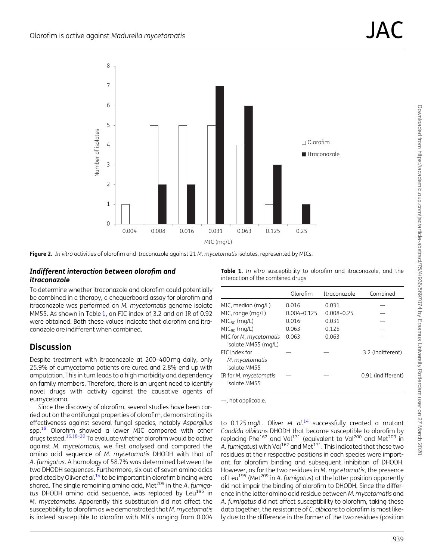<span id="page-3-0"></span>

Figure 2. In vitro activities of olorofim and itraconazole against 21 M. mycetomatis isolates, represented by MICs.

#### Indifferent interaction between olorofim and itraconazole

To determine whether itraconazole and olorofim could potentially be combined in a therapy, a chequerboard assay for olorofim and itraconazole was performed on M. mycetomatis genome isolate MM55. As shown in Table 1, an FIC index of 3.2 and an IR of 0.92 were obtained. Both these values indicate that olorofim and itraconazole are indifferent when combined.

# **Discussion**

Despite treatment with itraconazole at 200–400 mg daily, only 25.9% of eumycetoma patients are cured and 2.8% end up with amputation. This in turn leads to a high morbidity and dependency on family members. Therefore, there is an urgent need to identify novel drugs with activity against the causative agents of eumycetoma.

Since the discovery of olorofim, several studies have been carried out on the antifungal properties of olorofim, demonstrating its effectiveness against several fungal species, notably Aspergillus spp.<sup>[19](#page-4-0)</sup> Olorofim showed a lower MIC compared with other drugs tested[.16,18–20](#page-4-0) To evaluate whether olorofim would be active against M. mycetomatis, we first analysed and compared the amino acid sequence of M. mycetomatis DHODH with that of A. fumigatus. A homology of 58.7% was determined between the two DHODH sequences. Furthermore, six out of seven amino acids predicted by Oliver et al.<sup>[14](#page-4-0)</sup> to be important in olorofim binding were shared. The single remaining amino acid, Met $^{209}$  in the A. fumigatus DHODH amino acid sequence, was replaced by Leu<sup>195</sup> in M. mycetomatis. Apparently this substitution did not affect the susceptibility to olorofim as we demonstrated that M. mycetomatis is indeed susceptible to olorofim with MICs ranging from 0.004

Table 1. In vitro susceptibility to olorofim and itraconazole, and the interaction of the combined drugs

|                                                 | Olorofim        | <b>Itraconazole</b> | Combined           |
|-------------------------------------------------|-----------------|---------------------|--------------------|
| MIC, median (mg/L)                              | 0.016           | 0.031               |                    |
| MIC, range (mg/L)                               | $0.004 - 0.125$ | $0.008 - 0.25$      |                    |
| $MIC50$ (mg/L)                                  | 0.016           | 0.031               |                    |
| $MIC90$ (mg/L)                                  | 0.063           | 0.125               |                    |
| MIC for M. mycetomatis<br>isolate MM55 (mg/L)   | 0.063           | 0.063               |                    |
| FIC index for<br>M. mycetomatis<br>isolate MM55 |                 |                     | 3.2 (indifferent)  |
| IR for M. mycetomatis<br>isolate MM55           |                 |                     | 0.91 (indifferent) |

—, not applicable.

to 0.125 mg/L. Oliver et al.<sup>[14](#page-4-0)</sup> successfully created a mutant Candida albicans DHODH that became susceptible to olorofim by replacing Phe<sup>162</sup> and Val<sup>171</sup> (equivalent to Val<sup>200</sup> and Met<sup>209</sup> in A. fumigatus) with Val<sup>162</sup> and Met<sup>171</sup>. This indicated that these two residues at their respective positions in each species were important for olorofim binding and subsequent inhibition of DHODH. However, as for the two residues in M. mycetomatis, the presence of Leu<sup>195</sup> (Met<sup>209</sup> in A. fumigatus) at the latter position apparently did not impair the binding of olorofim to DHODH. Since the difference in the latter amino acid residue between M. mycetomatis and A. fumigatus did not affect susceptibility to olorofim, taking these data together, the resistance of C. albicans to olorofim is most likely due to the difference in the former of the two residues (position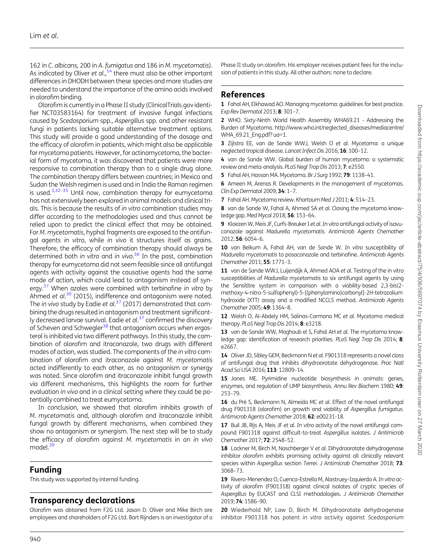<span id="page-4-0"></span>162 in C. albicans, 200 in A. fumigatus and 186 in M. mycetomatis). As indicated by Oliver et  $al.,<sup>14</sup>$  there must also be other important differences in DHODH between these species and more studies are needed to understand the importance of the amino acids involved in olorofim binding.

Olorofim is currently in a Phase II study (ClinicalTrials.gov identifier NCT03583164) for treatment of invasive fungal infections caused by Scedosporium spp., Aspergillus spp. and other resistant fungi in patients lacking suitable alternative treatment options. This study will provide a good understanding of the dosage and the efficacy of olorofim in patients, which might also be applicable for mycetoma patients. However, for actinomycetoma, the bacterial form of mycetoma, it was discovered that patients were more responsive to combination therapy than to a single drug alone. The combination therapy differs between countries; in Mexico and Sudan the Welsh regimen is used and in India the Raman regimen is used. $3,32-35$  $3,32-35$  $3,32-35$  $3,32-35$  Until now, combination therapy for eumycetoma has not extensively been explored in animal models and clinical trials. This is because the results of in vitro combination studies may differ according to the methodologies used and thus cannot be relied upon to predict the clinical effect that may be obtained. For M. mycetomatis, hyphal fragments are exposed to the antifungal agents in vitro, while in vivo it structures itself as grains. Therefore, the efficacy of combination therapy should always be determined both in vitro and in vivo.<sup>[36](#page-5-0)</sup> In the past, combination therapy for eumycetoma did not seem feasible since all antifungal agents with activity against the causative agents had the same mode of action, which could lead to antagonism instead of synergy.<sup>37</sup> When azoles were combined with terbinafine in vitro by Ahmed et al.<sup>[30](#page-5-0)</sup> (2015), indifference and antagonism were noted. The in vivo study by Eadie et al.<sup>[37](#page-5-0)</sup> (2017) demonstrated that combining the drugs resulted in antagonism and treatment significant-ly decreased larvae survival. Eadie et al.<sup>[37](#page-5-0)</sup> confirmed the discovery of Scheven and Schwegler<sup>38</sup> that antagonism occurs when ergosterol is inhibited via two different pathways. In this study, the combination of olorofim and itraconazole, two drugs with different modes of action, was studied. The components of the in vitro combination of olorofim and itraconazole against M. mycetomatis acted indifferently to each other, as no antagonism or synergy was noted. Since olorofim and itraconazole inhibit fungal growth via different mechanisms, this highlights the room for further evaluation in vivo and in a clinical setting where they could be potentially combined to treat eumycetoma.

In conclusion, we showed that olorofim inhibits growth of M. mycetomatis and, although olorofim and itraconazole inhibit fungal growth by different mechanisms, when combined they show no antagonism or synergism. The next step will be to study the efficacy of olorofim against M. mycetomatis in an in vivo model.<sup>39</sup>

# Funding

This study was supported by internal funding.

# Transparency declarations

Olorofim was obtained from F2G Ltd. Jason D. Oliver and Mike Birch are employees and shareholders of F2G Ltd. Bart Rijnders is an investigator of a

Phase II study on olorofim. His employer receives patient fees for the inclusion of patients in this study. All other authors: none to declare.

# References

[1](#page-0-0) Fahal AH, Elkhawad AO. Managing mycetoma: guidelines for best practice. Exp Rev Dermatol 2013; 8: 301–7.

[2](#page-0-0) WHO. Sixty-Ninth World Health Assembly WHA69.21 - Addressing the Burden of Mycetoma. [http://www.who.int/neglected\\_diseases/mediacentre/](http://www.who.int/neglected_diseases/mediacentre/WHA_69.21_Eng.pdf? ua=1) WHA 69.21 Eng.pdf? ua=1.

[3](#page-0-0) Zijlstra EE, van de Sande WWJ, Welsh O et al. Mycetoma: a unique neglected tropical disease. Lancet Infect Dis 2016; 16: 100–12.

[4](#page-0-0) van de Sande WW. Global burden of human mycetoma: a systematic review and meta-analysis. PLoS Negl Trop Dis 2013; 7: e2550.

[5](#page-0-0) Fahal AH, Hassan MA. Mycetoma. Br J Surg 1992; 79: 1138–41.

[6](#page-0-0) Ameen M, Arenas R. Developments in the management of mycetomas. Clin Exp Dermatol 2009; 34: 1–7.

[7](#page-0-0) Fahal AH. Mycetoma review. Khartoum Med J 2011; 4: 514–23.

[8](#page-0-0) van de Sande W, Fahal A, Ahmed SA et al. Closing the mycetoma knowledge gap. Med Mycol 2018; 56: 153–64.

[9](#page-1-0) Kloezen W, Meis JF, Curfs-Breuker I et al. In vitro antifungal activity of isavuconazole against Madurella mycetomatis. Antimicrob Agents Chemother 2012; 56: 6054–6.

10 van Belkum A, Fahal AH, van de Sande W. In vitro susceptibility of Madurella mycetomatis to posaconazole and terbinafine. Antimicrob Agents Chemother 2011; 55: 1771–3.

11 van de Sande WWJ, Luijendijk A, Ahmed AOA et al. Testing of the in vitro susceptibilities of Madurella mycetomatis to six antifungal agents by using the Sensititre system in comparison with a viability-based 2,3-bis(2 methoxy-4-nitro-5-sulfophenyl)-5-[(phenylamino)carbonyl]-2H-tetrazolium hydroxide (XTT) assay and a modified NCCLS method. Antimicrob Agents Chemother 2005; 49: 1364–8.

[12](#page-0-0) Welsh O, Al-Abdely HM, Salinas-Carmona MC et al. Mycetoma medical therapy. PLoS Negl Trop Dis 2014; 8: e3218.

[13](#page-0-0) van de Sande WW, Maghoub el S, Fahal AH et al. The mycetoma knowledge gap: identification of research priorities. PLoS Negl Trop Dis 2014; 8: e2667.

[14](#page-0-0) Oliver JD, Sibley GEM, Beckmann N et al. F901318 represents a novel class of antifungal drug that inhibits dihydroorotate dehydrogenase. Proc Natl Acad Sci USA 2016; 113: 12809-14.

[15](#page-0-0) Jones ME. Pyrimidine nucleotide biosynthesis in animals: genes, enzymes, and regulation of UMP biosynthesis. Annu Rev Biochem 1980; 49: 253–79.

[16](#page-3-0) du Pré S, Beckmann N, Almeida MC et al. Effect of the novel antifungal drug F901318 (olorofim) on growth and viability of Aspergillus fumigatus. Antimicrob Agents Chemother 2018; 62: e00231-18.

17 Buil JB, Rijs A, Meis JF et al. In vitro activity of the novel antifungal compound F901318 against difficult-to-treat Aspergillus isolates. J Antimicrob Chemother 2017; 72: 2548–52.

18 Lackner M, Birch M, Naschberger V et al. Dihydroorotate dehydrogenase inhibitor olorofim exhibits promising activity against all clinically relevant species within Aspergillus section Terrei. J Antimicrob Chemother 2018; 73: 3068–73.

[19](#page-3-0) Rivero-Menendez O, Cuenca-Estrella M, Alastruey-Izquierdo A. In vitro activity of olorofim (F901318) against clinical isolates of cryptic species of Aspergillus by EUCAST and CLSI methodologies. J Antimicrob Chemother 2019; 74: 1586–90.

[20](#page-0-0) Wiederhold NP, Law D, Birch M. Dihydroorotate dehydrogenase inhibitor F901318 has potent in vitro activity against Scedosporium